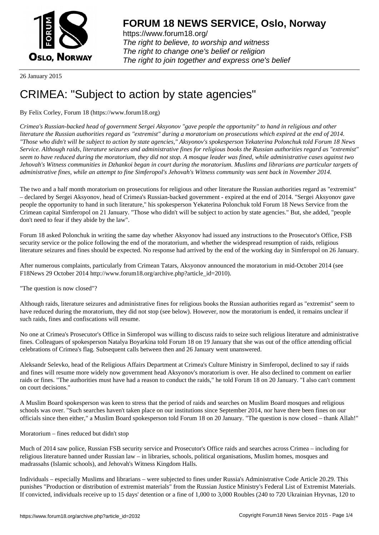

https://www.forum18.org/ The right to believe, to worship and witness The right to change one's belief or religion [The right to join together a](https://www.forum18.org/)nd express one's belief

26 January 2015

# [CRIMEA: "Subj](https://www.forum18.org)ect to action by state agencies"

## By Felix Corley, Forum 18 (https://www.forum18.org)

*Crimea's Russian-backed head of government Sergei Aksyonov "gave people the opportunity" to hand in religious and other literature the Russian authorities regard as "extremist" during a moratorium on prosecutions which expired at the end of 2014. "Those who didn't will be subject to action by state agencies," Aksyonov's spokesperson Yekaterina Polonchuk told Forum 18 News Service. Although raids, literature seizures and administrative fines for religious books the Russian authorities regard as "extremist" seem to have reduced during the moratorium, they did not stop. A mosque leader was fined, while administrative cases against two Jehovah's Witness communities in Dzhankoi began in court during the moratorium. Muslims and librarians are particular targets of administrative fines, while an attempt to fine Simferopol's Jehovah's Witness community was sent back in November 2014.*

The two and a half month moratorium on prosecutions for religious and other literature the Russian authorities regard as "extremist" – declared by Sergei Aksyonov, head of Crimea's Russian-backed government - expired at the end of 2014. "Sergei Aksyonov gave people the opportunity to hand in such literature," his spokesperson Yekaterina Polonchuk told Forum 18 News Service from the Crimean capital Simferopol on 21 January. "Those who didn't will be subject to action by state agencies." But, she added, "people don't need to fear if they abide by the law".

Forum 18 asked Polonchuk in writing the same day whether Aksyonov had issued any instructions to the Prosecutor's Office, FSB security service or the police following the end of the moratorium, and whether the widespread resumption of raids, religious literature seizures and fines should be expected. No response had arrived by the end of the working day in Simferopol on 26 January.

After numerous complaints, particularly from Crimean Tatars, Aksyonov announced the moratorium in mid-October 2014 (see F18News 29 October 2014 http://www.forum18.org/archive.php?article\_id=2010).

"The question is now closed"?

Although raids, literature seizures and administrative fines for religious books the Russian authorities regard as "extremist" seem to have reduced during the moratorium, they did not stop (see below). However, now the moratorium is ended, it remains unclear if such raids, fines and confiscations will resume.

No one at Crimea's Prosecutor's Office in Simferopol was willing to discuss raids to seize such religious literature and administrative fines. Colleagues of spokesperson Natalya Boyarkina told Forum 18 on 19 January that she was out of the office attending official celebrations of Crimea's flag. Subsequent calls between then and 26 January went unanswered.

Aleksandr Selevko, head of the Religious Affairs Department at Crimea's Culture Ministry in Simferopol, declined to say if raids and fines will resume more widely now government head Aksyonov's moratorium is over. He also declined to comment on earlier raids or fines. "The authorities must have had a reason to conduct the raids," he told Forum 18 on 20 January. "I also can't comment on court decisions."

A Muslim Board spokesperson was keen to stress that the period of raids and searches on Muslim Board mosques and religious schools was over. "Such searches haven't taken place on our institutions since September 2014, nor have there been fines on our officials since then either," a Muslim Board spokesperson told Forum 18 on 20 January. "The question is now closed – thank Allah!"

Moratorium – fines reduced but didn't stop

Much of 2014 saw police, Russian FSB security service and Prosecutor's Office raids and searches across Crimea – including for religious literature banned under Russian law – in libraries, schools, political organisations, Muslim homes, mosques and madrassahs (Islamic schools), and Jehovah's Witness Kingdom Halls.

Individuals – especially Muslims and librarians – were subjected to fines under Russia's Administrative Code Article 20.29. This punishes "Production or distribution of extremist materials" from the Russian Justice Ministry's Federal List of Extremist Materials. If convicted, individuals receive up to 15 days' detention or a fine of 1,000 to 3,000 Roubles (240 to 720 Ukrainian Hryvnas, 120 to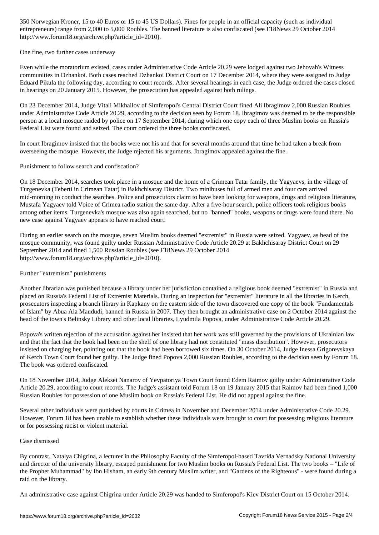entrepreneurs) range from 2,000 to 5,000 Roubles. The banned literature is also confiscated (see F18News 29 October 2014 http://www.forum18.org/archive.php?article\_id=2010).

One fine, two further cases underway

Even while the moratorium existed, cases under Administrative Code Article 20.29 were lodged against two Jehovah's Witness communities in Dzhankoi. Both cases reached Dzhankoi District Court on 17 December 2014, where they were assigned to Judge Eduard Pikula the following day, according to court records. After several hearings in each case, the Judge ordered the cases closed in hearings on 20 January 2015. However, the prosecution has appealed against both rulings.

On 23 December 2014, Judge Vitali Mikhailov of Simferopol's Central District Court fined Ali Ibragimov 2,000 Russian Roubles under Administrative Code Article 20.29, according to the decision seen by Forum 18. Ibragimov was deemed to be the responsible person at a local mosque raided by police on 17 September 2014, during which one copy each of three Muslim books on Russia's Federal List were found and seized. The court ordered the three books confiscated.

In court Ibragimov insisted that the books were not his and that for several months around that time he had taken a break from overseeing the mosque. However, the Judge rejected his arguments. Ibragimov appealed against the fine.

Punishment to follow search and confiscation?

On 18 December 2014, searches took place in a mosque and the home of a Crimean Tatar family, the Yagyaevs, in the village of Turgenevka (Teberti in Crimean Tatar) in Bakhchisaray District. Two minibuses full of armed men and four cars arrived mid-morning to conduct the searches. Police and prosecutors claim to have been looking for weapons, drugs and religious literature, Mustafa Yagyaev told Voice of Crimea radio station the same day. After a five-hour search, police officers took religious books among other items. Turgenevka's mosque was also again searched, but no "banned" books, weapons or drugs were found there. No new case against Yagyaev appears to have reached court.

During an earlier search on the mosque, seven Muslim books deemed "extremist" in Russia were seized. Yagyaev, as head of the mosque community, was found guilty under Russian Administrative Code Article 20.29 at Bakhchisaray District Court on 29 September 2014 and fined 1,500 Russian Roubles (see F18News 29 October 2014 http://www.forum18.org/archive.php?article\_id=2010).

### Further "extremism" punishments

Another librarian was punished because a library under her jurisdiction contained a religious book deemed "extremist" in Russia and placed on Russia's Federal List of Extremist Materials. During an inspection for "extremist" literature in all the libraries in Kerch, prosecutors inspecting a branch library in Kapkany on the eastern side of the town discovered one copy of the book "Fundamentals of Islam" by Abua Ala Maududi, banned in Russia in 2007. They then brought an administrative case on 2 October 2014 against the head of the town's Belinsky Library and other local libraries, Lyudmila Popova, under Administrative Code Article 20.29.

Popova's written rejection of the accusation against her insisted that her work was still governed by the provisions of Ukrainian law and that the fact that the book had been on the shelf of one library had not constituted "mass distribution". However, prosecutors insisted on charging her, pointing out that the book had been borrowed six times. On 30 October 2014, Judge Inessa Grigorevskaya of Kerch Town Court found her guilty. The Judge fined Popova 2,000 Russian Roubles, according to the decision seen by Forum 18. The book was ordered confiscated.

On 18 November 2014, Judge Aleksei Nanarov of Yevpatoriya Town Court found Edem Raimov guilty under Administrative Code Article 20.29, according to court records. The Judge's assistant told Forum 18 on 19 January 2015 that Raimov had been fined 1,000 Russian Roubles for possession of one Muslim book on Russia's Federal List. He did not appeal against the fine.

Several other individuals were punished by courts in Crimea in November and December 2014 under Administrative Code 20.29. However, Forum 18 has been unable to establish whether these individuals were brought to court for possessing religious literature or for possessing racist or violent material.

#### Case dismissed

By contrast, Natalya Chigrina, a lecturer in the Philosophy Faculty of the Simferopol-based Tavrida Vernadsky National University and director of the university library, escaped punishment for two Muslim books on Russia's Federal List. The two books – "Life of the Prophet Muhammad" by Ibn Hisham, an early 9th century Muslim writer, and "Gardens of the Righteous" - were found during a raid on the library.

An administrative case against Chigrina under Article 20.29 was handed to Simferopol's Kiev District Court on 15 October 2014.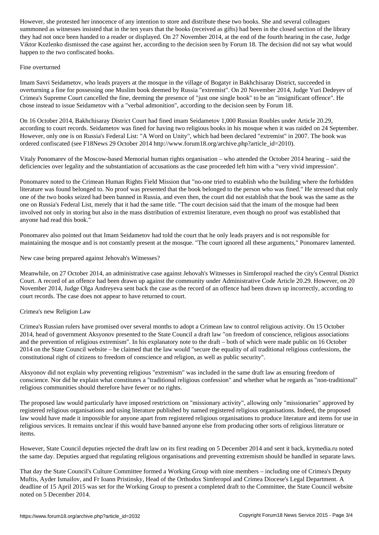summoned that insisted that the ten years that the books (received as gifts) had been in the closed section of the library  $\mu$ they had not once been handed to a reader or displayed. On 27 November 2014, at the end of the fourth hearing in the case, Judge Viktor Kozlenko dismissed the case against her, according to the decision seen by Forum 18. The decision did not say what would happen to the two confiscated books.

#### Fine overturned

Imam Savri Seidametov, who leads prayers at the mosque in the village of Bogatyr in Bakhchisaray District, succeeded in overturning a fine for possessing one Muslim book deemed by Russia "extremist". On 20 November 2014, Judge Yuri Dedeyev of Crimea's Supreme Court cancelled the fine, deeming the presence of "just one single book" to be an "insignificant offence". He chose instead to issue Seidametov with a "verbal admonition", according to the decision seen by Forum 18.

On 16 October 2014, Bakhchisaray District Court had fined imam Seidametov 1,000 Russian Roubles under Article 20.29, according to court records. Seidametov was fined for having two religious books in his mosque when it was raided on 24 September. However, only one is on Russia's Federal List: "A Word on Unity", which had been declared "extremist" in 2007. The book was ordered confiscated (see F18News 29 October 2014 http://www.forum18.org/archive.php?article\_id=2010).

Vitaly Ponomarev of the Moscow-based Memorial human rights organisation – who attended the October 2014 hearing – said the deficiencies over legality and the substantiation of accusations as the case proceeded left him with a "very vivid impression".

Ponomarev noted to the Crimean Human Rights Field Mission that "no-one tried to establish who the building where the forbidden literature was found belonged to. No proof was presented that the book belonged to the person who was fined." He stressed that only one of the two books seized had been banned in Russia, and even then, the court did not establish that the book was the same as the one on Russia's Federal List, merely that it had the same title. "The court decision said that the imam of the mosque had been involved not only in storing but also in the mass distribution of extremist literature, even though no proof was established that anyone had read this book."

Ponomarev also pointed out that Imam Seidametov had told the court that he only leads prayers and is not responsible for maintaining the mosque and is not constantly present at the mosque. "The court ignored all these arguments," Ponomarev lamented.

New case being prepared against Jehovah's Witnesses?

Meanwhile, on 27 October 2014, an administrative case against Jehovah's Witnesses in Simferopol reached the city's Central District Court. A record of an offence had been drawn up against the community under Administrative Code Article 20.29. However, on 20 November 2014, Judge Olga Andreyeva sent back the case as the record of an offence had been drawn up incorrectly, according to court records. The case does not appear to have returned to court.

#### Crimea's new Religion Law

Crimea's Russian rulers have promised over several months to adopt a Crimean law to control religious activity. On 15 October 2014, head of government Aksyonov presented to the State Council a draft law "on freedom of conscience, religious associations and the prevention of religious extremism". In his explanatory note to the draft – both of which were made public on 16 October 2014 on the State Council website – he claimed that the law would "secure the equality of all traditional religious confessions, the constitutional right of citizens to freedom of conscience and religion, as well as public security".

Aksyonov did not explain why preventing religious "extremism" was included in the same draft law as ensuring freedom of conscience. Nor did he explain what constitutes a "traditional religious confession" and whether what he regards as "non-traditional" religious communities should therefore have fewer or no rights.

The proposed law would particularly have imposed restrictions on "missionary activity", allowing only "missionaries" approved by registered religious organisations and using literature published by named registered religious organisations. Indeed, the proposed law would have made it impossible for anyone apart from registered religious organisations to produce literature and items for use in religious services. It remains unclear if this would have banned anyone else from producing other sorts of religious literature or items.

However, State Council deputies rejected the draft law on its first reading on 5 December 2014 and sent it back, krymedia.ru noted the same day. Deputies argued that regulating religious organisations and preventing extremism should be handled in separate laws.

That day the State Council's Culture Committee formed a Working Group with nine members – including one of Crimea's Deputy Muftis, Ayder Ismailov, and Fr Ioann Pristinsky, Head of the Orthodox Simferopol and Crimea Diocese's Legal Department. A deadline of 15 April 2015 was set for the Working Group to present a completed draft to the Committee, the State Council website noted on 5 December 2014.